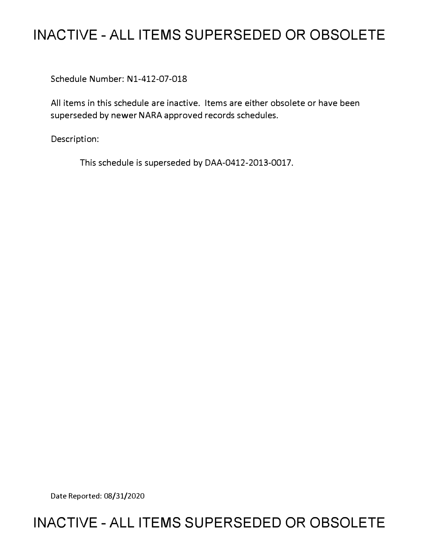## **INACTIVE - ALL ITEMS SUPERSEDED OR OBSOLETE**

Schedule Number: Nl-412-07-018

All items in this schedule are inactive. Items are either obsolete or have been superseded by newer NARA approved records schedules.

Description:

This schedule is superseded by DAA-0412-2013-0017.

Date Reported: 08/31/2020

## **INACTIVE - ALL ITEMS SUPERSEDED OR OBSOLETE**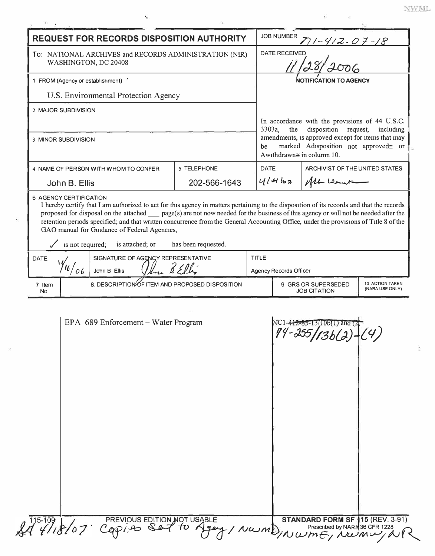| <b>REQUEST FOR RECORDS DISPOSITION AUTHORITY</b>                                                                                                                                                                                                                                                                                                                                                                                                                                                                                                                 |                                                    |              |              | <b>JOB NUMBER</b><br>11-412-07-18                                                                                                                                                                                                              |                                                                                  |  |  |
|------------------------------------------------------------------------------------------------------------------------------------------------------------------------------------------------------------------------------------------------------------------------------------------------------------------------------------------------------------------------------------------------------------------------------------------------------------------------------------------------------------------------------------------------------------------|----------------------------------------------------|--------------|--------------|------------------------------------------------------------------------------------------------------------------------------------------------------------------------------------------------------------------------------------------------|----------------------------------------------------------------------------------|--|--|
| To: NATIONAL ARCHIVES and RECORDS ADMINISTRATION (NIR)<br>WASHINGTON, DC 20408                                                                                                                                                                                                                                                                                                                                                                                                                                                                                   |                                                    |              |              | DATE RECEIVED                                                                                                                                                                                                                                  |                                                                                  |  |  |
| 1 FROM (Agency or establishment)                                                                                                                                                                                                                                                                                                                                                                                                                                                                                                                                 |                                                    |              |              | <b>NOTIFICATION TO AGENCY</b>                                                                                                                                                                                                                  |                                                                                  |  |  |
| U.S. Environmental Protection Agency                                                                                                                                                                                                                                                                                                                                                                                                                                                                                                                             |                                                    |              |              |                                                                                                                                                                                                                                                |                                                                                  |  |  |
| 2 MAJOR SUBDIVISION                                                                                                                                                                                                                                                                                                                                                                                                                                                                                                                                              |                                                    |              |              |                                                                                                                                                                                                                                                |                                                                                  |  |  |
| <b>3 MINOR SUBDIVISION</b>                                                                                                                                                                                                                                                                                                                                                                                                                                                                                                                                       |                                                    |              |              | In accordance with the provisions of 44 U.S.C.<br>disposition request,<br>$3303a$ ,<br>the<br>including<br>amendments, is approved except for items that may<br>marked Adisposition not approved≅ or<br>be<br>Awithdrawn $\cong$ in column 10. |                                                                                  |  |  |
|                                                                                                                                                                                                                                                                                                                                                                                                                                                                                                                                                                  | 4 NAME OF PERSON WITH WHOM TO CONFER               | 5 TELEPHONE  |              | <b>DATE</b>                                                                                                                                                                                                                                    | ARCHIVIST OF THE UNITED STATES                                                   |  |  |
| John B. Ellis                                                                                                                                                                                                                                                                                                                                                                                                                                                                                                                                                    |                                                    | 202-566-1643 |              | $414$ $52$                                                                                                                                                                                                                                     | All Lemata                                                                       |  |  |
| 6 AGENCY CERTIFICATION<br>I hereby certify that I am authorized to act for this agency in matters pertaining to the disposition of its records and that the records<br>proposed for disposal on the attached __ page(s) are not now needed for the business of this agency or will not be needed after the<br>retention periods specified; and that written concurrence from the General Accounting Office, under the provisions of Title 8 of the<br>GAO manual for Guidance of Federal Agencies,<br>is not required;<br>is attached; or<br>has been requested. |                                                    |              |              |                                                                                                                                                                                                                                                |                                                                                  |  |  |
| <b>DATE</b>                                                                                                                                                                                                                                                                                                                                                                                                                                                                                                                                                      | SIGNATURE OF AGENCY REPRESENTATIVE<br>John B Ellis |              | <b>TITLE</b> |                                                                                                                                                                                                                                                |                                                                                  |  |  |
|                                                                                                                                                                                                                                                                                                                                                                                                                                                                                                                                                                  |                                                    |              |              | <b>Agency Records Officer</b>                                                                                                                                                                                                                  |                                                                                  |  |  |
| 7 Item<br>N <sub>0</sub>                                                                                                                                                                                                                                                                                                                                                                                                                                                                                                                                         | 8. DESCRIPTION OF ITEM AND PROPOSED DISPOSITION    |              |              |                                                                                                                                                                                                                                                | 10 ACTION TAKEN<br>9 GRS OR SUPERSEDED<br>(NARA USE ONLY)<br><b>JOB CITATION</b> |  |  |
|                                                                                                                                                                                                                                                                                                                                                                                                                                                                                                                                                                  |                                                    |              |              |                                                                                                                                                                                                                                                |                                                                                  |  |  |

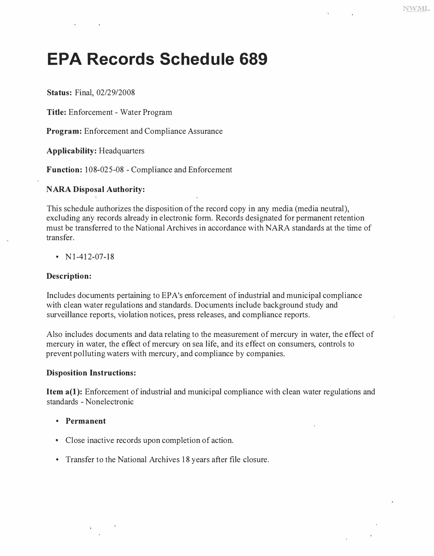# **EPA Records Schedule 689**

*Status: Final, 02/29/2008* 

*Title: Enforcement - Water Program* 

*Program: Enforcement and Compliance Assurance* 

*Applicability: Headquarters* 

*Function: 108-025-08 - Compliance and Enforcement* 

#### *NARA Disposal Authority:*

*This schedule authorizes the disposition of the record copy in any media (media neutral), excluding any records already in electronic form. Records designated for permanent retention must be transferred to the National Archives in accordance with NARA standards at the time of transfer.* 

*• Nl-412-07-18* 

#### *Description:*

*Includes documents pertaining to EP A's enforcement of industrial and municipal compliance*  with clean water regulations and standards. Documents include background study and *surveillance reports, violation notices, press releases, and compliance reports.* 

*Also includes documents and data relating to the measurement of mercury in water, the effect of mercury in water, the effect of mercury on sea life, and its effect on consumers, controls to prevent polluting waters with mercury, and compliance by companies.* 

#### *Disposition Instructions:*

*Item a(1): Enforcement of industrial and municipal compliance with clean water regulations and standards - Nonelectronic* 

- *Permanent*
- *Close inactive records upon completion of action.*
- *Transfer to the National Archives 18 years after file closure.*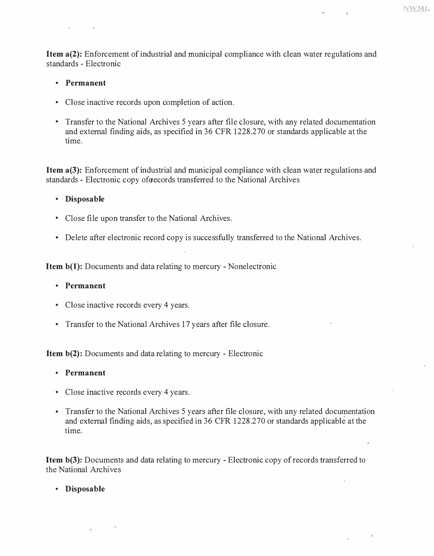*Item a(2): Enforcement of industrial and municipal compliance with clean water regulations and standards - Electronic* 

**NWML** 

- *Permanent*
- *Close inactive records upon completion of action.*
- *Transfer to the National Archives 5 years after file closure, with any related documentation and external finding aids, as specified in 36 CFR 1228.270 or standards applicable at the time.*

*Item a(3): Enforcement of industrial and municipal compliance with clean water regulations and standards - Electronic copy oforecords transferred to the National Archives* 

- *Disposable*
- *Close file upon transfer to the National Archives.*
- *Delete after electronic record copy is successfully transferred to the National Archives.*

*Item b(l): Documents and data relating to mercury - Nonelectronic* 

- *Permanent*
- *Close inactive records every 4 years.*
- *Transfer to the National Archives 17 years after file closure.*

*Item b(2): Documents and data relating to mercury - Electronic* 

- *Permanent*
- *Close inactive records every 4 years.*
- *Transfer to the National Archives 5 years after file closure, with any related documentation and external finding aids, as specified in 36 CFR 1228.270 or standards applicable at the time.*

*Item b(3): Documents and data relating to mercury - Electronic copy of records transferred to the National Archives* 

*• Disposable*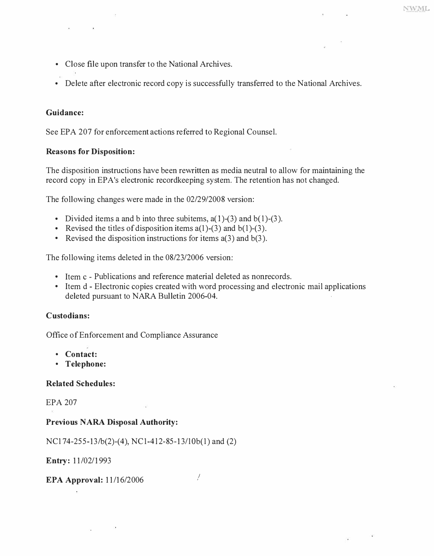- *Close file upon transfer to the National Archives.*
- *Delete after electronic record copy is successfully transferred to the National Archives.*

#### *Guidance:*

*See EPA 207 for enforcement actions referred to Regional Counsel.* 

#### *Reasons for Disposition:*

*The disposition instructions have been rewritten as media neutral to allow for maintaining the*  record copy in EPA's electronic recordkeeping system. The retention has not changed.

*The following changes were made in the 02/29/2008 version:* 

- *Divided items a and b into three subitems, a(l )-(3) and b(l )-(3 ). Revised the titles of disposition items a(l)-(3) and b(l)-(3). Revised the disposition instructions for items a(3) and b(3).*
- 
- 

*The following items deleted in the 08/23/2006 version:* 

- 
- *Item c - Publications and reference material deleted as nonrecords. Item d - Electronic copies created with word processing and electronic mail applications deleted pursuant to NARA Bulletin 2006-04.*

#### *Custodians:*

*Office of Enforcement and Compliance Assurance* 

- *Contact:*
- *Telephone:*

#### *Related Schedules:*

*EPA 207* 

#### *Previous NARA Disposal Authority:*

*NCl 74-255-13/b(2)-(4), NCl-412-85-13/lOb(l) and (2)* 

*Entry: 11/02/1993* 

*EPA Approval: 11/16/2006 I* 

ú.